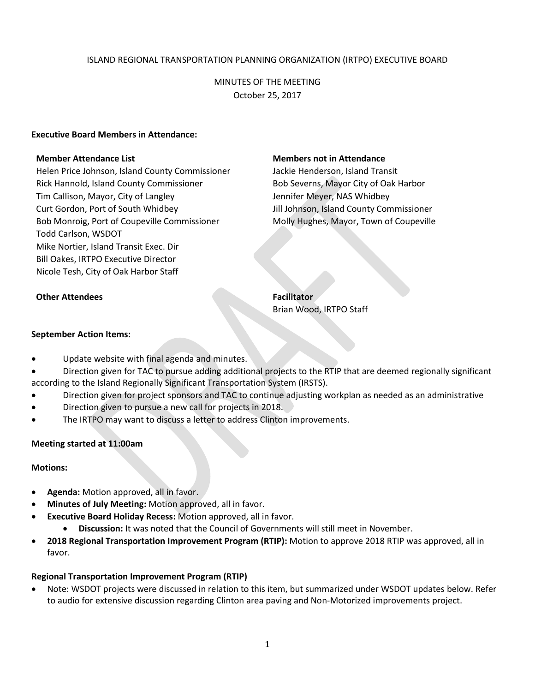### ISLAND REGIONAL TRANSPORTATION PLANNING ORGANIZATION (IRTPO) EXECUTIVE BOARD

MINUTES OF THE MEETING October 25, 2017

#### **Executive Board Members in Attendance:**

Helen Price Johnson, Island County Commissioner Jackie Henderson, Island Transit Rick Hannold, Island County Commissioner **Bob Severns, Mayor City of Oak Harbor** Tim Callison, Mayor, City of Langley **Jennifer Meyer, NAS Whidbey** Curt Gordon, Port of South Whidbey Jill Johnson, Island County Commissioner Bob Monroig, Port of Coupeville Commissioner Molly Hughes, Mayor, Town of Coupeville Todd Carlson, WSDOT Mike Nortier, Island Transit Exec. Dir Bill Oakes, IRTPO Executive Director Nicole Tesh, City of Oak Harbor Staff

#### **Member Attendance List Members not in Attendance**

**Other Attendees Facilitator** Brian Wood, IRTPO Staff

# **September Action Items:**

- Update website with final agenda and minutes.
- Direction given for TAC to pursue adding additional projects to the RTIP that are deemed regionally significant according to the Island Regionally Significant Transportation System (IRSTS).
- Direction given for project sponsors and TAC to continue adjusting workplan as needed as an administrative
- Direction given to pursue a new call for projects in 2018.
- The IRTPO may want to discuss a letter to address Clinton improvements.

### **Meeting started at 11:00am**

#### **Motions:**

- **Agenda:** Motion approved, all in favor.
- **Minutes of July Meeting:** Motion approved, all in favor.
- **Executive Board Holiday Recess:** Motion approved, all in favor.
	- **Discussion:** It was noted that the Council of Governments will still meet in November.
- **2018 Regional Transportation Improvement Program (RTIP):** Motion to approve 2018 RTIP was approved, all in favor.

### **Regional Transportation Improvement Program (RTIP)**

 Note: WSDOT projects were discussed in relation to this item, but summarized under WSDOT updates below. Refer to audio for extensive discussion regarding Clinton area paving and Non-Motorized improvements project.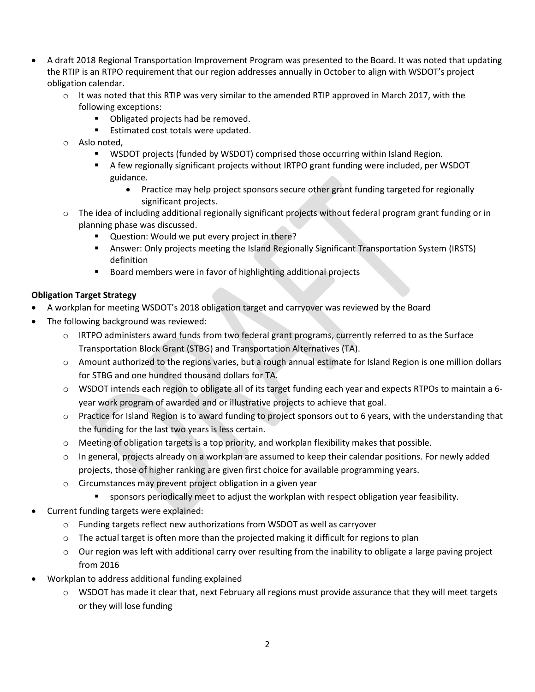- A draft 2018 Regional Transportation Improvement Program was presented to the Board. It was noted that updating the RTIP is an RTPO requirement that our region addresses annually in October to align with WSDOT's project obligation calendar.
	- o It was noted that this RTIP was very similar to the amended RTIP approved in March 2017, with the following exceptions:
		- **Didensify** Obligated projects had be removed.
		- **Estimated cost totals were updated.**
	- o Aslo noted,
		- WSDOT projects (funded by WSDOT) comprised those occurring within Island Region.
		- A few regionally significant projects without IRTPO grant funding were included, per WSDOT guidance.
			- Practice may help project sponsors secure other grant funding targeted for regionally significant projects.
	- o The idea of including additional regionally significant projects without federal program grant funding or in planning phase was discussed.
		- **Question: Would we put every project in there?**
		- Answer: Only projects meeting the Island Regionally Significant Transportation System (IRSTS) definition
		- **Board members were in favor of highlighting additional projects**

## **Obligation Target Strategy**

- A workplan for meeting WSDOT's 2018 obligation target and carryover was reviewed by the Board
- The following background was reviewed:
	- $\circ$  IRTPO administers award funds from two federal grant programs, currently referred to as the Surface Transportation Block Grant (STBG) and Transportation Alternatives (TA).
	- o Amount authorized to the regions varies, but a rough annual estimate for Island Region is one million dollars for STBG and one hundred thousand dollars for TA.
	- o WSDOT intends each region to obligate all of its target funding each year and expects RTPOs to maintain a 6 year work program of awarded and or illustrative projects to achieve that goal.
	- o Practice for Island Region is to award funding to project sponsors out to 6 years, with the understanding that the funding for the last two years is less certain.
	- o Meeting of obligation targets is a top priority, and workplan flexibility makes that possible.
	- $\circ$  In general, projects already on a workplan are assumed to keep their calendar positions. For newly added projects, those of higher ranking are given first choice for available programming years.
	- o Circumstances may prevent project obligation in a given year
		- sponsors periodically meet to adjust the workplan with respect obligation year feasibility.
- Current funding targets were explained:
	- o Funding targets reflect new authorizations from WSDOT as well as carryover
	- $\circ$  The actual target is often more than the projected making it difficult for regions to plan
	- $\circ$  Our region was left with additional carry over resulting from the inability to obligate a large paving project from 2016
- Workplan to address additional funding explained
	- $\circ$  WSDOT has made it clear that, next February all regions must provide assurance that they will meet targets or they will lose funding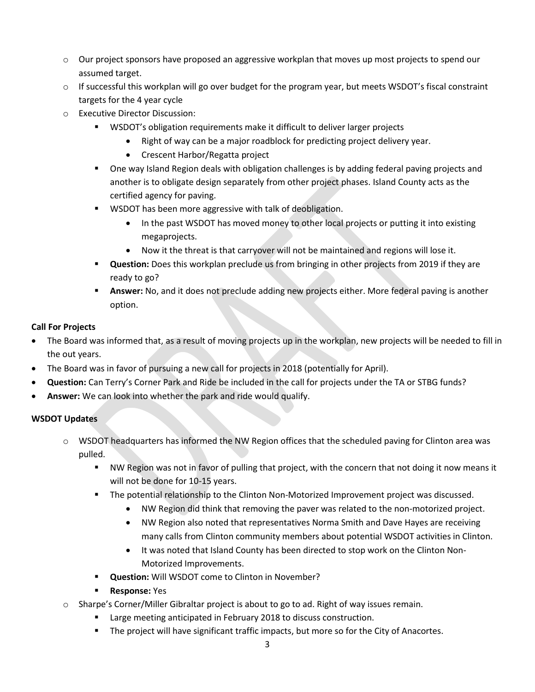- o Our project sponsors have proposed an aggressive workplan that moves up most projects to spend our assumed target.
- o If successful this workplan will go over budget for the program year, but meets WSDOT's fiscal constraint targets for the 4 year cycle
- o Executive Director Discussion:
	- WSDOT's obligation requirements make it difficult to deliver larger projects
		- Right of way can be a major roadblock for predicting project delivery year.
			- Crescent Harbor/Regatta project
	- **Diamonal Studing Tenson** of the Unitation of allenges is by adding federal paving projects and and  $\overline{a}$ another is to obligate design separately from other project phases. Island County acts as the certified agency for paving.
	- WSDOT has been more aggressive with talk of deobligation.
		- In the past WSDOT has moved money to other local projects or putting it into existing megaprojects.
		- Now it the threat is that carryover will not be maintained and regions will lose it.
	- **Question:** Does this workplan preclude us from bringing in other projects from 2019 if they are ready to go?
	- **Answer:** No, and it does not preclude adding new projects either. More federal paving is another option.

## **Call For Projects**

- The Board was informed that, as a result of moving projects up in the workplan, new projects will be needed to fill in the out years.
- The Board was in favor of pursuing a new call for projects in 2018 (potentially for April).
- **Question:** Can Terry's Corner Park and Ride be included in the call for projects under the TA or STBG funds?
- **Answer:** We can look into whether the park and ride would qualify.

## **WSDOT Updates**

- $\circ$  WSDOT headquarters has informed the NW Region offices that the scheduled paving for Clinton area was pulled.
	- " NW Region was not in favor of pulling that project, with the concern that not doing it now means it will not be done for 10-15 years.
	- **The potential relationship to the Clinton Non-Motorized Improvement project was discussed.** 
		- NW Region did think that removing the paver was related to the non-motorized project.
		- NW Region also noted that representatives Norma Smith and Dave Hayes are receiving many calls from Clinton community members about potential WSDOT activities in Clinton.
		- It was noted that Island County has been directed to stop work on the Clinton Non-Motorized Improvements.
	- **Question:** Will WSDOT come to Clinton in November?
	- **Response:** Yes
- o Sharpe's Corner/Miller Gibraltar project is about to go to ad. Right of way issues remain.
	- **E** Large meeting anticipated in February 2018 to discuss construction.
	- **The project will have significant traffic impacts, but more so for the City of Anacortes.**